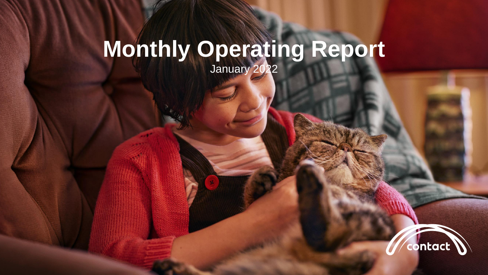## **Monthly Operating Report**

January 2022

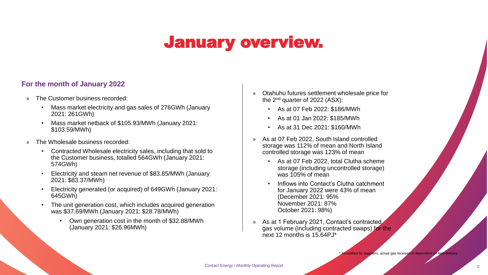### January overview.

#### **For the month of January 2022**

- » The Customer business recorded:
	- Mass market electricity and gas sales of 276GWh (January 2021: 261GWh)
	- Mass market netback of \$105.93/MWh (January 2021: \$103.59/MWh)
- » The Wholesale business recorded:
	- Contracted Wholesale electricity sales, including that sold to the Customer business, totalled 564GWh (January 2021: 574GWh)
	- Electricity and steam net revenue of \$83.85/MWh (January 2021: \$83.37/MWh)
	- Electricity generated (or acquired) of 649GWh (January 2021: 645GWh)
	- The unit generation cost, which includes acquired generation was \$37.69/MWh (January 2021: \$28.78/MWh)
		- Own generation cost in the month of \$32.88/MWh (January 2021: \$26.96MWh)
- » Otahuhu futures settlement wholesale price for the 2nd quarter of 2022 (ASX):
	- As at 07 Feb 2022: \$186/MWh
	- As at 01 Jan 2022: \$185/MWh
	- As at 31 Dec 2021: \$160/MWh
- » As at 07 Feb 2022, South Island controlled storage was 112% of mean and North Island controlled storage was 123% of mean
	- As at 07 Feb 2022, total Clutha scheme storage (including uncontrolled storage) was 105% of mean
	- Inflows into Contact's Clutha catchment for January 2022 were 43% of mean (December 2021: 95% November 2021: 87% October 2021: 98%)
- As at 1 February 2021, Contact's contracted gas volume (including contracted swaps) for the next 12 months is 15.64PJ\*

fied by suppliers, actual gas received is dependent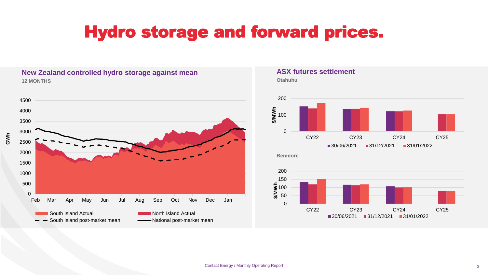### Hydro storage and forward prices.

#### **New Zealand controlled hydro storage against mean ASX futures settlement 12 MONTHS Otahuhu**



# 200





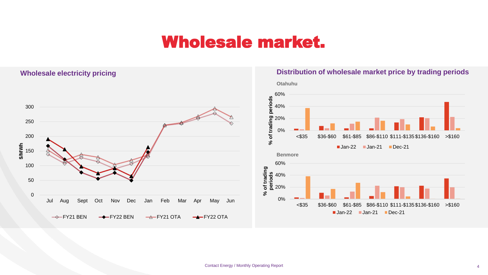### Wholesale market.

#### **Wholesale electricity pricing**

0

50

100

150

**\$/MWh**

200

250

300



#### **Distribution of wholesale market price by trading periods**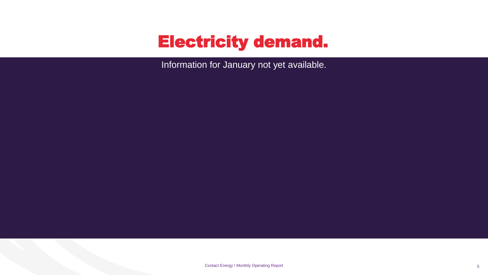### Electricity demand.

**Total national demand Regional demand change (%) on December 2020** Information for January not yet available.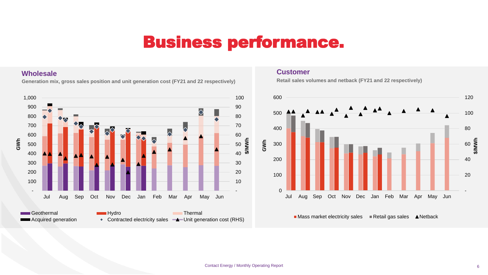### Business performance.

#### **Wholesale**

**Generation mix, gross sales position and unit generation cost (FY21 and 22 respectively) Retail sales volumes and netback (FY21 and 22 respectively)**



#### **Customer**



 $\blacksquare$  Mass market electricity sales  $\blacksquare$  Retail gas sales  $\blacktriangle$  Netback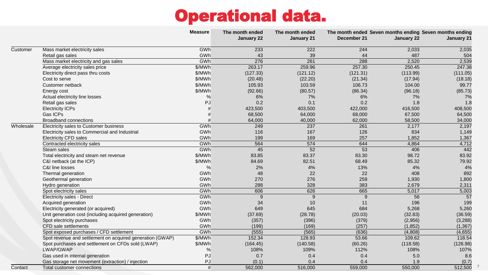### Operational data.

|           |                                                           | <b>Measure</b> | The month ended | The month ended | The month ended Seven months ending Seven months ending |                   |                   |
|-----------|-----------------------------------------------------------|----------------|-----------------|-----------------|---------------------------------------------------------|-------------------|-------------------|
|           |                                                           |                | January 22      | January 21      | December 21                                             | <b>January 22</b> | <b>January 21</b> |
| Customer  | Mass market electricity sales                             | GWh            | 233             | 222             | 244                                                     | 2,033             | 2,035             |
|           | Retail gas sales                                          | GWh            | 43              | 39              | 44                                                      | 487               | 504               |
|           | Mass market electricity and gas sales                     | GWh            | 276             | 261             | 288                                                     | 2,520             | 2,539             |
|           | Average electricity sales price                           | \$/MWh         | 263.17          | 259.96          | 257.30                                                  | 250.45            | 247.38            |
|           | Electricity direct pass thru costs                        | \$/MWh         | (127.33)        | (121.12)        | (121.31)                                                | (113.99)          | (111.05)          |
|           | Cost to serve                                             | \$/MWh         | (20.48)         | (22.20)         | (21.34)                                                 | (17.94)           | (18.18)           |
|           | Customer netback                                          | \$/MWh         | 105.93          | 103.59          | 106.73                                                  | 104.00            | 99.77             |
|           | Energy cost                                               | \$/MWh         | (92.66)         | (80.57)         | (86.34)                                                 | (96.18)           | (85.73)           |
|           | Actual electricity line losses                            | %              | 6%              | 7%              | 6%                                                      | 7%                | 7%                |
|           | Retail gas sales                                          | PJ             | 0.2             | 0.1             | 0.2                                                     | 1.8               | 1.8               |
|           | <b>Electricity ICPs</b>                                   |                | 423,500         | 403,500         | 422,000                                                 | 416,500           | 408,500           |
|           | Gas ICPs                                                  |                | 68,500          | 64,000          | 68,000                                                  | 67,500            | 64,500            |
|           | <b>Broadband connections</b>                              |                | 64,000          | 40,000          | 62,000                                                  | 58,500            | 34,000            |
| Wholesale | Electricity sales to Customer business                    | GWh            | 249             | 237             | 261                                                     | 2,177             | 2,197             |
|           | Electricity sales to Commercial and Industrial            | GWh            | 116             | 167             | 126                                                     | 834               | 1,149             |
|           | <b>Electricity CFD sales</b>                              | GWh            | 199             | 169             | 257                                                     | 1,852             | 1,367             |
|           | Contracted electricity sales                              | GWh            | 564             | 574             | 644                                                     | 4,864             | 4,712             |
|           | Steam sales                                               | GWh            | 45              | 52              | 53                                                      | 406               | 442               |
|           | Total electricity and steam net revenue                   | \$/MWh         | 83.85           | 83.37           | 83.30                                                   | 98.72             | 83.92             |
|           | C&I netback (at the ICP)                                  | \$/MWh         | 84.69           | 82.51           | 68.49                                                   | 85.32             | 79.92             |
|           | C&I line losses                                           | $\%$           | 2%              | 4%              | 13%                                                     | 4%                | 4%                |
|           | Thermal generation                                        | GWh            | 48              | 22              | 22                                                      | 408               | 892               |
|           | Geothermal generation                                     | GWh            | 270             | 276             | 259                                                     | 1,930             | 1,800             |
|           | Hydro generation                                          | GWh            | 288             | 328             | 383                                                     | 2,679             | 2,311             |
|           | Spot electricity sales                                    | GWh            | 606             | 626             | 665                                                     | 5,017             | 5,003             |
|           | Electricity sales - Direct                                | GWh            | 9               | 9               | 9                                                       | 56                | 57                |
|           | Acquired generation                                       | GWh            | 34              | 10              | 11                                                      | 196               | 199               |
|           | Electricity generated (or acquired)                       | GWh            | 649             | 645             | 684                                                     | 5,268             | 5,260             |
|           | Unit generation cost (including acquired generation)      | \$/MWh         | (37.69)         | (28.78)         | (20.03)                                                 | (32.83)           | (36.59)           |
|           | Spot electricity purchases                                | GWh            | (357)           | (396)           | (379)                                                   | (2,956)           | (3,288)           |
|           | CFD sale settlements                                      | GWh            | (199)           | (169)           | (257)                                                   | (1,852)           | (1, 367)          |
|           | Spot exposed purchases / CFD settlement                   | GWh            | (555)           | (565)           | (636)                                                   | (4,808)           | (4,655)           |
|           | Spot revenue and settlement on acquired generation (GWAP) | \$/MWh         | 152.34          | 128.93          | 53.66                                                   | 109.62            | 118.54            |
|           | Spot purchases and settlement on CFDs sold (LWAP)         | \$/MWh         | (164.45)        | (140.58)        | (60.26)                                                 | (118.58)          | (126.98)          |
|           | LWAP/GWAP                                                 | %              | 108%            | 109%            | 112%                                                    | 108%              | 107%              |
|           | Gas used in internal generation                           | PJ             | 0.7             | 0.4             | 0.4                                                     | 5.0               | 8.6               |
|           | Gas storage net movement (extraction) / injection         | PJ             | (0.1)           | 0.4             | 0.4                                                     | 1.9               | (0.7)             |
| Contact   | Total customer connections                                | #              | 562,000         | 516,000         | 559,000                                                 | 550,000           | 512,500           |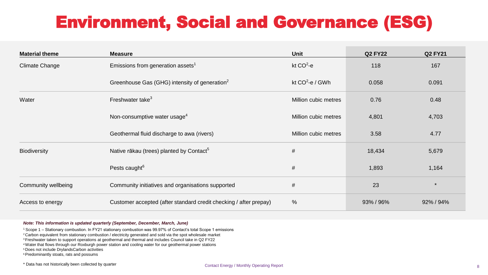### Environment, Social and Governance (ESG)

| <b>Material theme</b> | <b>Measure</b>                                                    | <b>Unit</b>          | <b>Q2 FY22</b> | <b>Q2 FY21</b> |
|-----------------------|-------------------------------------------------------------------|----------------------|----------------|----------------|
| Climate Change        | Emissions from generation assets <sup>1</sup>                     | kt $CO^2$ -e         | 118            | 167            |
|                       | Greenhouse Gas (GHG) intensity of generation <sup>2</sup>         | kt $CO^2$ -e / GWh   | 0.058          | 0.091          |
| Water                 | Freshwater take <sup>3</sup>                                      | Million cubic metres | 0.76           | 0.48           |
|                       | Non-consumptive water usage <sup>4</sup>                          | Million cubic metres | 4,801          | 4,703          |
|                       | Geothermal fluid discharge to awa (rivers)                        | Million cubic metres | 3.58           | 4.77           |
| <b>Biodiversity</b>   | Native rākau (trees) planted by Contact <sup>5</sup>              | #                    | 18,434         | 5,679          |
|                       | Pests caught <sup>6</sup>                                         | #                    | 1,893          | 1,164          |
| Community wellbeing   | Community initiatives and organisations supported                 | #                    | 23             | $\star$        |
| Access to energy      | Customer accepted (after standard credit checking / after prepay) | %                    | 93% / 96%      | 92% / 94%      |

#### *Note: This information is updated quarterly (September, December, March, June)*

<sup>1</sup>Scope 1 – Stationary combustion. In FY21 stationary combustion was 99.97% of Contact's total Scope 1 emissions

<sup>2</sup> Carbon equivalent from stationary combustion / electricity generated and sold via the spot wholesale market

<sup>3</sup> Freshwater taken to support operations at geothermal and thermal and includes Council take in Q2 FY22

<sup>4</sup>Water that flows through our Roxburgh power station and cooling water for our geothermal power stations

<sup>5</sup> Does not include DrylandsCarbon activities

<sup>6</sup>Predominantly stoats, rats and possums